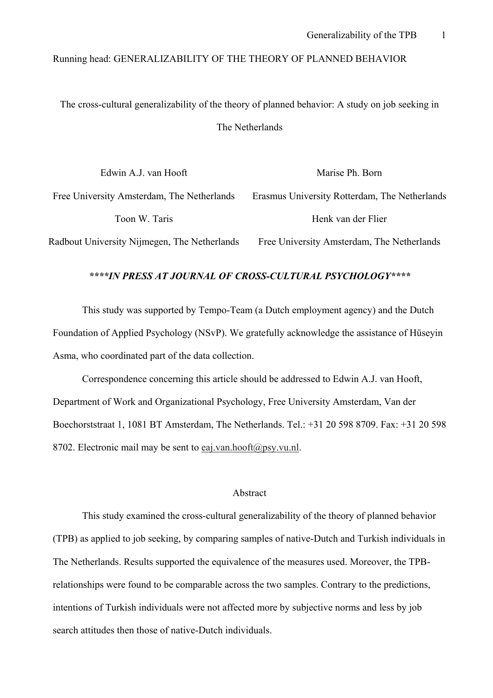# Running head: GENERALIZABILITY OF THE THEORY OF PLANNED BEHAVIOR

The cross-cultural generalizability of the theory of planned behavior: A study on job seeking in The Netherlands

| Edwin A.J. van Hooft                         | Marise Ph. Born                               |  |  |  |  |  |  |
|----------------------------------------------|-----------------------------------------------|--|--|--|--|--|--|
| Free University Amsterdam, The Netherlands   | Erasmus University Rotterdam, The Netherlands |  |  |  |  |  |  |
| Toon W. Taris                                | Henk van der Flier                            |  |  |  |  |  |  |
| Radbout University Nijmegen, The Netherlands | Free University Amsterdam, The Netherlands    |  |  |  |  |  |  |

#### *\*\*\*\*IN PRESS AT JOURNAL OF CROSS-CULTURAL PSYCHOLOGY\*\*\*\**

This study was supported by Tempo-Team (a Dutch employment agency) and the Dutch Foundation of Applied Psychology (NSvP). We gratefully acknowledge the assistance of Hüseyin Asma, who coordinated part of the data collection.

Correspondence concerning this article should be addressed to Edwin A.J. van Hooft, Department of Work and Organizational Psychology, Free University Amsterdam, Van der Boechorststraat 1, 1081 BT Amsterdam, The Netherlands. Tel.: +31 20 598 8709. Fax: +31 20 598 8702. Electronic mail may be sent to eaj.van.hooft@psy.vu.nl.

### Abstract

 This study examined the cross-cultural generalizability of the theory of planned behavior (TPB) as applied to job seeking, by comparing samples of native-Dutch and Turkish individuals in The Netherlands. Results supported the equivalence of the measures used. Moreover, the TPBrelationships were found to be comparable across the two samples. Contrary to the predictions, intentions of Turkish individuals were not affected more by subjective norms and less by job search attitudes then those of native-Dutch individuals.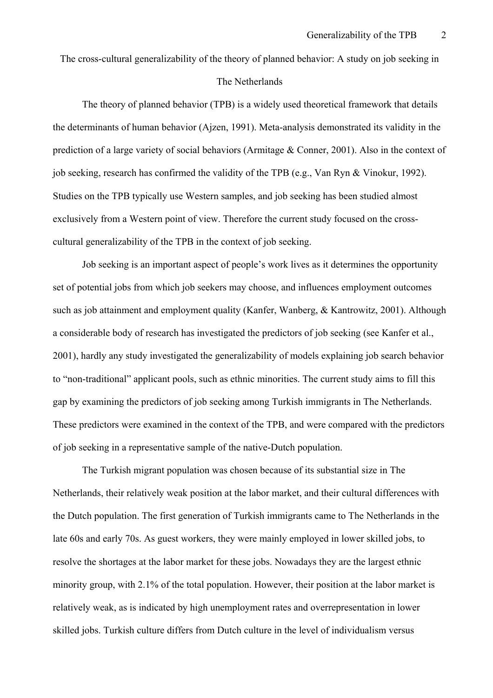The cross-cultural generalizability of the theory of planned behavior: A study on job seeking in

### The Netherlands

The theory of planned behavior (TPB) is a widely used theoretical framework that details the determinants of human behavior (Ajzen, 1991). Meta-analysis demonstrated its validity in the prediction of a large variety of social behaviors (Armitage & Conner, 2001). Also in the context of job seeking, research has confirmed the validity of the TPB (e.g., Van Ryn & Vinokur, 1992). Studies on the TPB typically use Western samples, and job seeking has been studied almost exclusively from a Western point of view. Therefore the current study focused on the crosscultural generalizability of the TPB in the context of job seeking.

Job seeking is an important aspect of people's work lives as it determines the opportunity set of potential jobs from which job seekers may choose, and influences employment outcomes such as job attainment and employment quality (Kanfer, Wanberg, & Kantrowitz, 2001). Although a considerable body of research has investigated the predictors of job seeking (see Kanfer et al., 2001), hardly any study investigated the generalizability of models explaining job search behavior to "non-traditional" applicant pools, such as ethnic minorities. The current study aims to fill this gap by examining the predictors of job seeking among Turkish immigrants in The Netherlands. These predictors were examined in the context of the TPB, and were compared with the predictors of job seeking in a representative sample of the native-Dutch population.

The Turkish migrant population was chosen because of its substantial size in The Netherlands, their relatively weak position at the labor market, and their cultural differences with the Dutch population. The first generation of Turkish immigrants came to The Netherlands in the late 60s and early 70s. As guest workers, they were mainly employed in lower skilled jobs, to resolve the shortages at the labor market for these jobs. Nowadays they are the largest ethnic minority group, with 2.1% of the total population. However, their position at the labor market is relatively weak, as is indicated by high unemployment rates and overrepresentation in lower skilled jobs. Turkish culture differs from Dutch culture in the level of individualism versus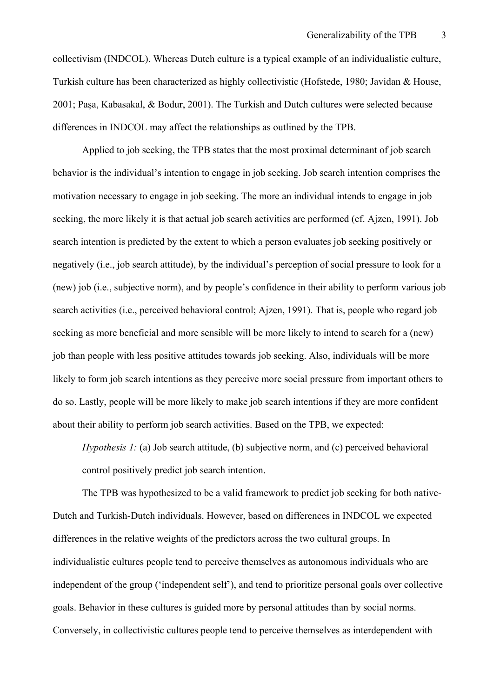collectivism (INDCOL). Whereas Dutch culture is a typical example of an individualistic culture, Turkish culture has been characterized as highly collectivistic (Hofstede, 1980; Javidan & House, 2001; Paşa, Kabasakal, & Bodur, 2001). The Turkish and Dutch cultures were selected because differences in INDCOL may affect the relationships as outlined by the TPB.

Applied to job seeking, the TPB states that the most proximal determinant of job search behavior is the individual's intention to engage in job seeking. Job search intention comprises the motivation necessary to engage in job seeking. The more an individual intends to engage in job seeking, the more likely it is that actual job search activities are performed (cf. Ajzen, 1991). Job search intention is predicted by the extent to which a person evaluates job seeking positively or negatively (i.e., job search attitude), by the individual's perception of social pressure to look for a (new) job (i.e., subjective norm), and by people's confidence in their ability to perform various job search activities (i.e., perceived behavioral control; Ajzen, 1991). That is, people who regard job seeking as more beneficial and more sensible will be more likely to intend to search for a (new) job than people with less positive attitudes towards job seeking. Also, individuals will be more likely to form job search intentions as they perceive more social pressure from important others to do so. Lastly, people will be more likely to make job search intentions if they are more confident about their ability to perform job search activities. Based on the TPB, we expected:

*Hypothesis 1:* (a) Job search attitude, (b) subjective norm, and (c) perceived behavioral control positively predict job search intention.

The TPB was hypothesized to be a valid framework to predict job seeking for both native-Dutch and Turkish-Dutch individuals. However, based on differences in INDCOL we expected differences in the relative weights of the predictors across the two cultural groups. In individualistic cultures people tend to perceive themselves as autonomous individuals who are independent of the group ('independent self'), and tend to prioritize personal goals over collective goals. Behavior in these cultures is guided more by personal attitudes than by social norms. Conversely, in collectivistic cultures people tend to perceive themselves as interdependent with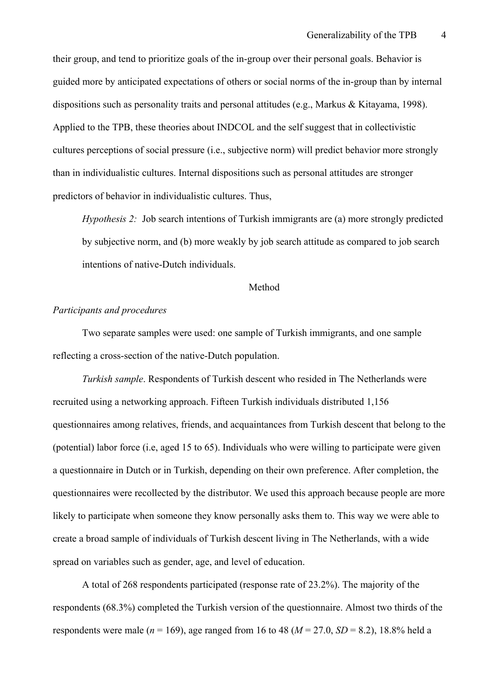their group, and tend to prioritize goals of the in-group over their personal goals. Behavior is guided more by anticipated expectations of others or social norms of the in-group than by internal dispositions such as personality traits and personal attitudes (e.g., Markus & Kitayama, 1998). Applied to the TPB, these theories about INDCOL and the self suggest that in collectivistic cultures perceptions of social pressure (i.e., subjective norm) will predict behavior more strongly than in individualistic cultures. Internal dispositions such as personal attitudes are stronger predictors of behavior in individualistic cultures. Thus,

*Hypothesis 2:* Job search intentions of Turkish immigrants are (a) more strongly predicted by subjective norm, and (b) more weakly by job search attitude as compared to job search intentions of native-Dutch individuals.

### Method

#### *Participants and procedures*

Two separate samples were used: one sample of Turkish immigrants, and one sample reflecting a cross-section of the native-Dutch population.

*Turkish sample*. Respondents of Turkish descent who resided in The Netherlands were recruited using a networking approach. Fifteen Turkish individuals distributed 1,156 questionnaires among relatives, friends, and acquaintances from Turkish descent that belong to the (potential) labor force (i.e, aged 15 to 65). Individuals who were willing to participate were given a questionnaire in Dutch or in Turkish, depending on their own preference. After completion, the questionnaires were recollected by the distributor. We used this approach because people are more likely to participate when someone they know personally asks them to. This way we were able to create a broad sample of individuals of Turkish descent living in The Netherlands, with a wide spread on variables such as gender, age, and level of education.

A total of 268 respondents participated (response rate of 23.2%). The majority of the respondents (68.3%) completed the Turkish version of the questionnaire. Almost two thirds of the respondents were male ( $n = 169$ ), age ranged from 16 to 48 ( $M = 27.0$ ,  $SD = 8.2$ ), 18.8% held a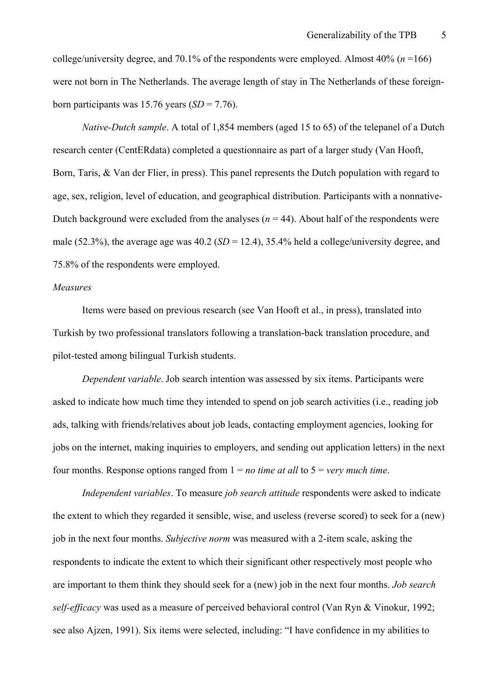college/university degree, and 70.1% of the respondents were employed. Almost  $40\%$  ( $n = 166$ ) were not born in The Netherlands. The average length of stay in The Netherlands of these foreignborn participants was  $15.76$  years  $(SD = 7.76)$ .

*Native-Dutch sample*. A total of 1,854 members (aged 15 to 65) of the telepanel of a Dutch research center (CentERdata) completed a questionnaire as part of a larger study (Van Hooft, Born, Taris, & Van der Flier, in press). This panel represents the Dutch population with regard to age, sex, religion, level of education, and geographical distribution. Participants with a nonnative-Dutch background were excluded from the analyses  $(n = 44)$ . About half of the respondents were male (52.3%), the average age was 40.2 (*SD* = 12.4), 35.4% held a college/university degree, and 75.8% of the respondents were employed.

### *Measures*

Items were based on previous research (see Van Hooft et al., in press), translated into Turkish by two professional translators following a translation-back translation procedure, and pilot-tested among bilingual Turkish students.

*Dependent variable*. Job search intention was assessed by six items. Participants were asked to indicate how much time they intended to spend on job search activities (i.e., reading job ads, talking with friends/relatives about job leads, contacting employment agencies, looking for jobs on the internet, making inquiries to employers, and sending out application letters) in the next four months. Response options ranged from 1 = *no time at all* to 5 = *very much time*.

*Independent variables*. To measure *job search attitude* respondents were asked to indicate the extent to which they regarded it sensible, wise, and useless (reverse scored) to seek for a (new) job in the next four months. *Subjective norm* was measured with a 2-item scale, asking the respondents to indicate the extent to which their significant other respectively most people who are important to them think they should seek for a (new) job in the next four months. *Job search self-efficacy* was used as a measure of perceived behavioral control (Van Ryn & Vinokur, 1992; see also Ajzen, 1991). Six items were selected, including: "I have confidence in my abilities to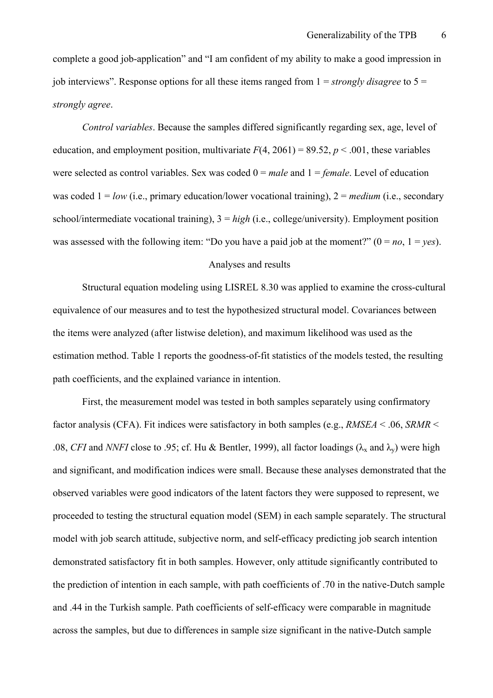complete a good job-application" and "I am confident of my ability to make a good impression in job interviews". Response options for all these items ranged from 1 = *strongly disagree* to 5 = *strongly agree*.

*Control variables*. Because the samples differed significantly regarding sex, age, level of education, and employment position, multivariate  $F(4, 2061) = 89.52$ ,  $p \le 0.001$ , these variables were selected as control variables. Sex was coded 0 = *male* and 1 = *female*. Level of education was coded  $1 = low$  (i.e., primary education/lower vocational training),  $2 = medium$  (i.e., secondary school/intermediate vocational training), 3 = *high* (i.e., college/university). Employment position was assessed with the following item: "Do you have a paid job at the moment?"  $(0 = no, 1 = yes)$ .

## Analyses and results

 Structural equation modeling using LISREL 8.30 was applied to examine the cross-cultural equivalence of our measures and to test the hypothesized structural model. Covariances between the items were analyzed (after listwise deletion), and maximum likelihood was used as the estimation method. Table 1 reports the goodness-of-fit statistics of the models tested, the resulting path coefficients, and the explained variance in intention.

 First, the measurement model was tested in both samples separately using confirmatory factor analysis (CFA). Fit indices were satisfactory in both samples (e.g., *RMSEA* < .06, *SRMR* < .08, *CFI* and *NNFI* close to .95; cf. Hu & Bentler, 1999), all factor loadings ( $\lambda_x$  and  $\lambda_y$ ) were high and significant, and modification indices were small. Because these analyses demonstrated that the observed variables were good indicators of the latent factors they were supposed to represent, we proceeded to testing the structural equation model (SEM) in each sample separately. The structural model with job search attitude, subjective norm, and self-efficacy predicting job search intention demonstrated satisfactory fit in both samples. However, only attitude significantly contributed to the prediction of intention in each sample, with path coefficients of .70 in the native-Dutch sample and .44 in the Turkish sample. Path coefficients of self-efficacy were comparable in magnitude across the samples, but due to differences in sample size significant in the native-Dutch sample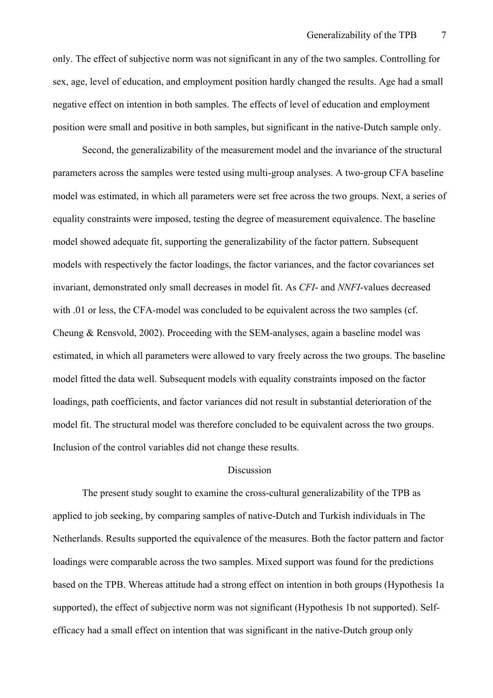only. The effect of subjective norm was not significant in any of the two samples. Controlling for sex, age, level of education, and employment position hardly changed the results. Age had a small negative effect on intention in both samples. The effects of level of education and employment position were small and positive in both samples, but significant in the native-Dutch sample only.

 Second, the generalizability of the measurement model and the invariance of the structural parameters across the samples were tested using multi-group analyses. A two-group CFA baseline model was estimated, in which all parameters were set free across the two groups. Next, a series of equality constraints were imposed, testing the degree of measurement equivalence. The baseline model showed adequate fit, supporting the generalizability of the factor pattern. Subsequent models with respectively the factor loadings, the factor variances, and the factor covariances set invariant, demonstrated only small decreases in model fit. As *CFI*- and *NNFI*-values decreased with .01 or less, the CFA-model was concluded to be equivalent across the two samples (cf. Cheung & Rensvold, 2002). Proceeding with the SEM-analyses, again a baseline model was estimated, in which all parameters were allowed to vary freely across the two groups. The baseline model fitted the data well. Subsequent models with equality constraints imposed on the factor loadings, path coefficients, and factor variances did not result in substantial deterioration of the model fit. The structural model was therefore concluded to be equivalent across the two groups. Inclusion of the control variables did not change these results.

### **Discussion**

The present study sought to examine the cross-cultural generalizability of the TPB as applied to job seeking, by comparing samples of native-Dutch and Turkish individuals in The Netherlands. Results supported the equivalence of the measures. Both the factor pattern and factor loadings were comparable across the two samples. Mixed support was found for the predictions based on the TPB. Whereas attitude had a strong effect on intention in both groups (Hypothesis 1a supported), the effect of subjective norm was not significant (Hypothesis 1b not supported). Selfefficacy had a small effect on intention that was significant in the native-Dutch group only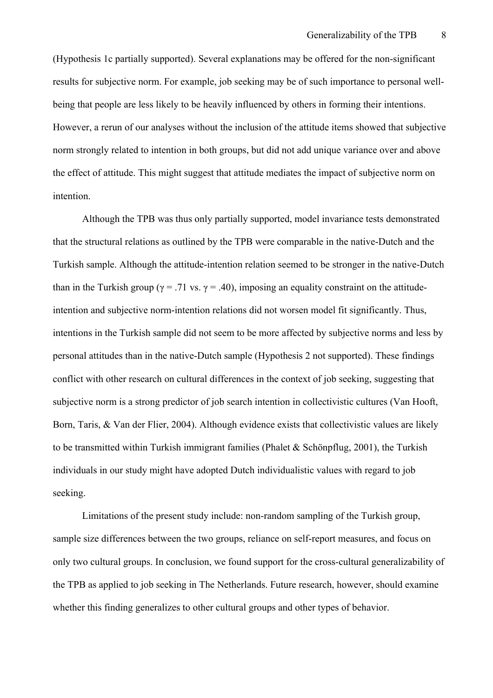(Hypothesis 1c partially supported). Several explanations may be offered for the non-significant results for subjective norm. For example, job seeking may be of such importance to personal wellbeing that people are less likely to be heavily influenced by others in forming their intentions. However, a rerun of our analyses without the inclusion of the attitude items showed that subjective norm strongly related to intention in both groups, but did not add unique variance over and above the effect of attitude. This might suggest that attitude mediates the impact of subjective norm on intention.

Although the TPB was thus only partially supported, model invariance tests demonstrated that the structural relations as outlined by the TPB were comparable in the native-Dutch and the Turkish sample. Although the attitude-intention relation seemed to be stronger in the native-Dutch than in the Turkish group ( $\gamma = .71$  vs.  $\gamma = .40$ ), imposing an equality constraint on the attitudeintention and subjective norm-intention relations did not worsen model fit significantly. Thus, intentions in the Turkish sample did not seem to be more affected by subjective norms and less by personal attitudes than in the native-Dutch sample (Hypothesis 2 not supported). These findings conflict with other research on cultural differences in the context of job seeking, suggesting that subjective norm is a strong predictor of job search intention in collectivistic cultures (Van Hooft, Born, Taris, & Van der Flier, 2004). Although evidence exists that collectivistic values are likely to be transmitted within Turkish immigrant families (Phalet & Schönpflug, 2001), the Turkish individuals in our study might have adopted Dutch individualistic values with regard to job seeking.

Limitations of the present study include: non-random sampling of the Turkish group, sample size differences between the two groups, reliance on self-report measures, and focus on only two cultural groups. In conclusion, we found support for the cross-cultural generalizability of the TPB as applied to job seeking in The Netherlands. Future research, however, should examine whether this finding generalizes to other cultural groups and other types of behavior.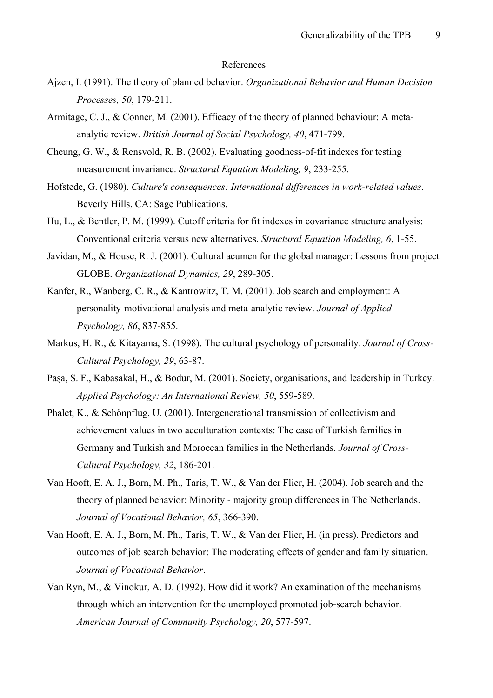#### References

- Ajzen, I. (1991). The theory of planned behavior. *Organizational Behavior and Human Decision Processes, 50*, 179-211.
- Armitage, C. J., & Conner, M. (2001). Efficacy of the theory of planned behaviour: A metaanalytic review. *British Journal of Social Psychology, 40*, 471-799.
- Cheung, G. W., & Rensvold, R. B. (2002). Evaluating goodness-of-fit indexes for testing measurement invariance. *Structural Equation Modeling, 9*, 233-255.
- Hofstede, G. (1980). *Culture's consequences: International differences in work-related values*. Beverly Hills, CA: Sage Publications.
- Hu, L., & Bentler, P. M. (1999). Cutoff criteria for fit indexes in covariance structure analysis: Conventional criteria versus new alternatives. *Structural Equation Modeling, 6*, 1-55.
- Javidan, M., & House, R. J. (2001). Cultural acumen for the global manager: Lessons from project GLOBE. *Organizational Dynamics, 29*, 289-305.
- Kanfer, R., Wanberg, C. R., & Kantrowitz, T. M. (2001). Job search and employment: A personality-motivational analysis and meta-analytic review. *Journal of Applied Psychology, 86*, 837-855.
- Markus, H. R., & Kitayama, S. (1998). The cultural psychology of personality. *Journal of Cross-Cultural Psychology, 29*, 63-87.
- Paşa, S. F., Kabasakal, H., & Bodur, M. (2001). Society, organisations, and leadership in Turkey. *Applied Psychology: An International Review, 50*, 559-589.
- Phalet, K., & Schönpflug, U. (2001). Intergenerational transmission of collectivism and achievement values in two acculturation contexts: The case of Turkish families in Germany and Turkish and Moroccan families in the Netherlands. *Journal of Cross-Cultural Psychology, 32*, 186-201.
- Van Hooft, E. A. J., Born, M. Ph., Taris, T. W., & Van der Flier, H. (2004). Job search and the theory of planned behavior: Minority - majority group differences in The Netherlands. *Journal of Vocational Behavior, 65*, 366-390.
- Van Hooft, E. A. J., Born, M. Ph., Taris, T. W., & Van der Flier, H. (in press). Predictors and outcomes of job search behavior: The moderating effects of gender and family situation. *Journal of Vocational Behavior*.
- Van Ryn, M., & Vinokur, A. D. (1992). How did it work? An examination of the mechanisms through which an intervention for the unemployed promoted job-search behavior. *American Journal of Community Psychology, 20*, 577-597.